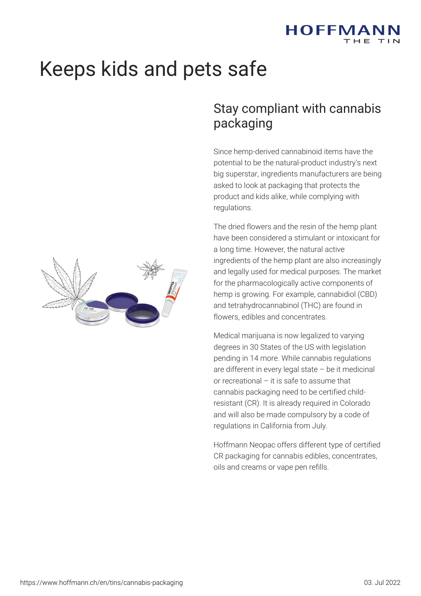

# Keeps kids and pets safe

## Stay compliant with cannabis packaging

Since hemp-derived cannabinoid items have the potential to be the natural-product industry's next big superstar, ingredients manufacturers are being asked to look at packaging that protects the product and kids alike, while complying with regulations.

The dried flowers and the resin of the hemp plant have been considered a stimulant or intoxicant for a long time. However, the natural active ingredients of the hemp plant are also increasingly and legally used for medical purposes. The market for the pharmacologically active components of hemp is growing. For example, cannabidiol (CBD) and tetrahydrocannabinol (THC) are found in flowers, edibles and concentrates.

Medical marijuana is now legalized to varying degrees in 30 States of the US with legislation pending in 14 more. While cannabis regulations are different in every legal state – be it medicinal or recreational – it is safe to assume that cannabis packaging need to be certified childresistant (CR). It is already required in Colorado and will also be made compulsory by a code of regulations in California from July.

Hoffmann Neopac offers different type of certified CR packaging for cannabis edibles, concentrates, oils and creams or vape pen refills.